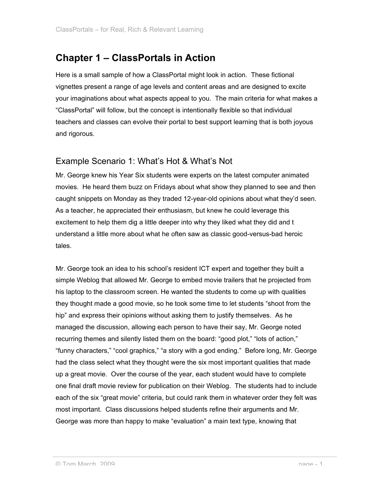# **Chapter 1 – ClassPortals in Action**

Here is a small sample of how a ClassPortal might look in action. These fictional vignettes present a range of age levels and content areas and are designed to excite your imaginations about what aspects appeal to you. The main criteria for what makes a "ClassPortal" will follow, but the concept is intentionally flexible so that individual teachers and classes can evolve their portal to best support learning that is both joyous and rigorous.

## Example Scenario 1: What's Hot & What's Not

Mr. George knew his Year Six students were experts on the latest computer animated movies. He heard them buzz on Fridays about what show they planned to see and then caught snippets on Monday as they traded 12-year-old opinions about what they'd seen. As a teacher, he appreciated their enthusiasm, but knew he could leverage this excitement to help them dig a little deeper into why they liked what they did and t understand a little more about what he often saw as classic good-versus-bad heroic tales.

Mr. George took an idea to his school's resident ICT expert and together they built a simple Weblog that allowed Mr. George to embed movie trailers that he projected from his laptop to the classroom screen. He wanted the students to come up with qualities they thought made a good movie, so he took some time to let students "shoot from the hip" and express their opinions without asking them to justify themselves. As he managed the discussion, allowing each person to have their say, Mr. George noted recurring themes and silently listed them on the board: "good plot," "lots of action," "funny characters," "cool graphics," "a story with a god ending." Before long, Mr. George had the class select what they thought were the six most important qualities that made up a great movie. Over the course of the year, each student would have to complete one final draft movie review for publication on their Weblog. The students had to include each of the six "great movie" criteria, but could rank them in whatever order they felt was most important. Class discussions helped students refine their arguments and Mr. George was more than happy to make "evaluation" a main text type, knowing that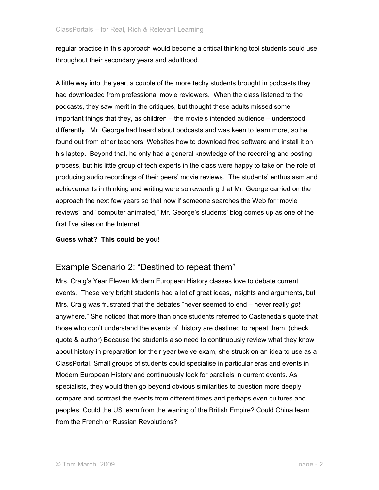regular practice in this approach would become a critical thinking tool students could use throughout their secondary years and adulthood.

A little way into the year, a couple of the more techy students brought in podcasts they had downloaded from professional movie reviewers. When the class listened to the podcasts, they saw merit in the critiques, but thought these adults missed some important things that they, as children – the movie's intended audience – understood differently. Mr. George had heard about podcasts and was keen to learn more, so he found out from other teachers' Websites how to download free software and install it on his laptop. Beyond that, he only had a general knowledge of the recording and posting process, but his little group of tech experts in the class were happy to take on the role of producing audio recordings of their peers' movie reviews. The students' enthusiasm and achievements in thinking and writing were so rewarding that Mr. George carried on the approach the next few years so that now if someone searches the Web for "movie reviews" and "computer animated," Mr. George's students' blog comes up as one of the first five sites on the Internet.

#### **Guess what? This could be you!**

## Example Scenario 2: "Destined to repeat them"

Mrs. Craig's Year Eleven Modern European History classes love to debate current events. These very bright students had a lot of great ideas, insights and arguments, but Mrs. Craig was frustrated that the debates "never seemed to end – never really *got* anywhere." She noticed that more than once students referred to Casteneda's quote that those who don't understand the events of history are destined to repeat them. (check quote & author) Because the students also need to continuously review what they know about history in preparation for their year twelve exam, she struck on an idea to use as a ClassPortal. Small groups of students could specialise in particular eras and events in Modern European History and continuously look for parallels in current events. As specialists, they would then go beyond obvious similarities to question more deeply compare and contrast the events from different times and perhaps even cultures and peoples. Could the US learn from the waning of the British Empire? Could China learn from the French or Russian Revolutions?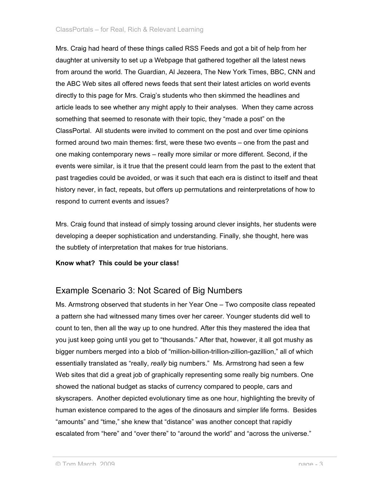Mrs. Craig had heard of these things called RSS Feeds and got a bit of help from her daughter at university to set up a Webpage that gathered together all the latest news from around the world. The Guardian, Al Jezeera, The New York Times, BBC, CNN and the ABC Web sites all offered news feeds that sent their latest articles on world events directly to this page for Mrs. Craig's students who then skimmed the headlines and article leads to see whether any might apply to their analyses. When they came across something that seemed to resonate with their topic, they "made a post" on the ClassPortal. All students were invited to comment on the post and over time opinions formed around two main themes: first, were these two events – one from the past and one making contemporary news – really more similar or more different. Second, if the events were similar, is it true that the present could learn from the past to the extent that past tragedies could be avoided, or was it such that each era is distinct to itself and theat history never, in fact, repeats, but offers up permutations and reinterpretations of how to respond to current events and issues?

Mrs. Craig found that instead of simply tossing around clever insights, her students were developing a deeper sophistication and understanding. Finally, she thought, here was the subtlety of interpretation that makes for true historians.

#### **Know what? This could be your class!**

## Example Scenario 3: Not Scared of Big Numbers

Ms. Armstrong observed that students in her Year One – Two composite class repeated a pattern she had witnessed many times over her career. Younger students did well to count to ten, then all the way up to one hundred. After this they mastered the idea that you just keep going until you get to "thousands." After that, however, it all got mushy as bigger numbers merged into a blob of "million-billion-trillion-zillion-gazillion," all of which essentially translated as "really, *really* big numbers." Ms. Armstrong had seen a few Web sites that did a great job of graphically representing some really big numbers. One showed the national budget as stacks of currency compared to people, cars and skyscrapers. Another depicted evolutionary time as one hour, highlighting the brevity of human existence compared to the ages of the dinosaurs and simpler life forms. Besides "amounts" and "time," she knew that "distance" was another concept that rapidly escalated from "here" and "over there" to "around the world" and "across the universe."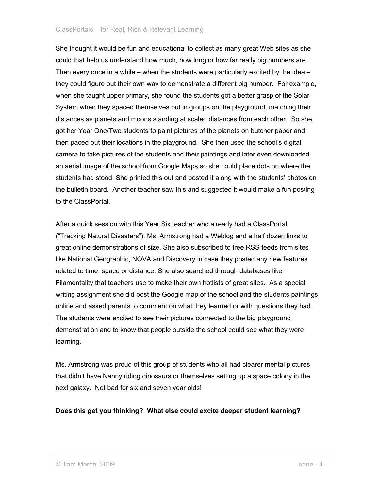She thought it would be fun and educational to collect as many great Web sites as she could that help us understand how much, how long or how far really big numbers are. Then every once in a while – when the students were particularly excited by the idea – they could figure out their own way to demonstrate a different big number. For example, when she taught upper primary, she found the students got a better grasp of the Solar System when they spaced themselves out in groups on the playground, matching their distances as planets and moons standing at scaled distances from each other. So she got her Year One/Two students to paint pictures of the planets on butcher paper and then paced out their locations in the playground. She then used the school's digital camera to take pictures of the students and their paintings and later even downloaded an aerial image of the school from Google Maps so she could place dots on where the students had stood. She printed this out and posted it along with the students' photos on the bulletin board. Another teacher saw this and suggested it would make a fun posting to the ClassPortal.

After a quick session with this Year Six teacher who already had a ClassPortal ("Tracking Natural Disasters"), Ms. Armstrong had a Weblog and a half dozen links to great online demonstrations of size. She also subscribed to free RSS feeds from sites like National Geographic, NOVA and Discovery in case they posted any new features related to time, space or distance. She also searched through databases like Filamentality that teachers use to make their own hotlists of great sites. As a special writing assignment she did post the Google map of the school and the students paintings online and asked parents to comment on what they learned or with questions they had. The students were excited to see their pictures connected to the big playground demonstration and to know that people outside the school could see what they were learning.

Ms. Armstrong was proud of this group of students who all had clearer mental pictures that didn't have Nanny riding dinosaurs or themselves setting up a space colony in the next galaxy. Not bad for six and seven year olds!

#### **Does this get you thinking? What else could excite deeper student learning?**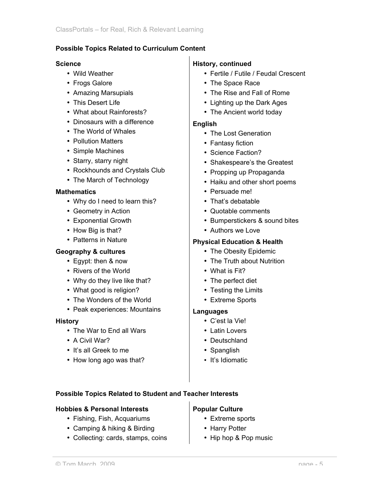#### **Possible Topics Related to Curriculum Content**

#### **Science**

- Wild Weather
- Frogs Galore
- Amazing Marsupials
- This Desert Life
- What about Rainforests?
- Dinosaurs with a difference
- The World of Whales
- Pollution Matters
- Simple Machines
- Starry, starry night
- Rockhounds and Crystals Club
- The March of Technology

#### **Mathematics**

- Why do I need to learn this?
- Geometry in Action
- Exponential Growth
- How Big is that?
- Patterns in Nature

## **Geography & cultures**

- Egypt: then & now
- Rivers of the World
- Why do they live like that?
- What good is religion?
- The Wonders of the World
- Peak experiences: Mountains

#### **History**

- The War to End all Wars
- A Civil War?
- It's all Greek to me
- How long ago was that?

## **History, continued**

- Fertile / Futile / Feudal Crescent
- The Space Race
- The Rise and Fall of Rome
- Lighting up the Dark Ages
- The Ancient world today

#### **English**

- The Lost Generation
- Fantasy fiction
- Science Faction?
- Shakespeare's the Greatest
- Propping up Propaganda
- Haiku and other short poems
- Persuade me!
- That's debatable
- Quotable comments
- Bumperstickers & sound bites
- Authors we Love

### **Physical Education & Health**

- The Obesity Epidemic
- The Truth about Nutrition
- What is Fit?
- The perfect diet
- Testing the Limits
- Extreme Sports

## **Languages**

- C'est la Vie!
- Latin Lovers
- Deutschland
- Spanglish
- It's Idiomatic

#### **Possible Topics Related to Student and Teacher Interests**

#### **Hobbies & Personal Interests**

- Fishing, Fish, Acquariums
- Camping & hiking & Birding
- Collecting: cards, stamps, coins

## **Popular Culture**

- Extreme sports
- Harry Potter
- Hip hop & Pop music